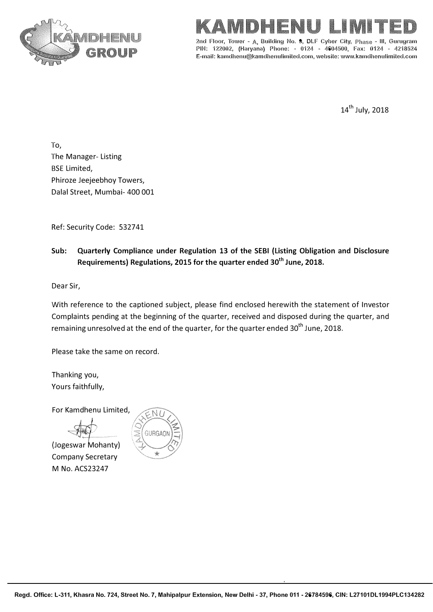



2nd Floor, Tower - A. Building No.  $9$ , DLF Cyber City, Phase - III, Gurugram PIN: 122002, (Haryana) Phone: • 0124 - 4604500, Fax: 0124 - 4218524 E-mail: kamdhenu@kamdhenulimited.com, website: www.kamdhenulimited.com

14<sup>th</sup> July, 2018

To, The Manager- Listing BSE Limited, Phiroze Jeejeebhoy Towers, Dalal Street, Mumbai- 400 001

Ref: Security Code: 532741

## **Sub: Quarterly Compliance under Regulation 13 of the SEBI (Listing Obligation and Disclosure Requirements) Regulations, 2015 for the quarter ended 30th June, 2018.**

Dear Sir,

With reference to the captioned subject, please find enclosed herewith the statement of Investor Complaints pending at the beginning of the quarter, received and disposed during the quarter, and remaining unresolved at the end of the quarter, for the quarter ended 30<sup>th</sup> June, 2018.

Please take the same on record.

Thanking you, Yours faithfully,

For Kamdhenu Limited,

(Jogeswar Mohanty) Company Secretary M No. ACS23247